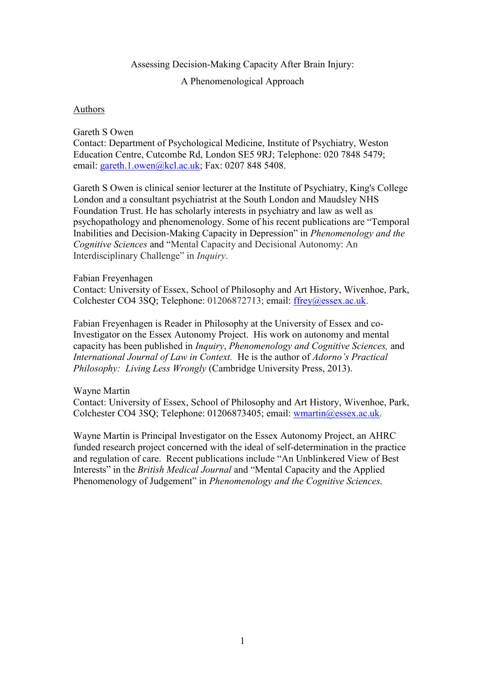## Assessing Decision-Making Capacity After Brain Injury:

A Phenomenological Approach

## **Authors**

## Gareth S Owen

Contact: Department of Psychological Medicine, Institute of Psychiatry, Weston Education Centre, Cutcombe Rd, London SE5 9RJ; Telephone: 020 7848 5479; email: [gareth.1.owen@kcl.ac.uk;](mailto:gareth.1.owen@kcl.ac.uk) Fax: 0207 848 5408.

Gareth S Owen is clinical senior lecturer at the Institute of Psychiatry, King's College London and a consultant psychiatrist at the South London and Maudsley NHS Foundation Trust. He has scholarly interests in psychiatry and law as well as psychopathology and phenomenology. Some of his recent publications are "Temporal Inabilities and Decision-Making Capacity in Depression" in *Phenomenology and the Cognitive Sciences* and "Mental Capacity and Decisional Autonomy: An Interdisciplinary Challenge" in *Inquiry*.

## Fabian Freyenhagen

Contact: [University of Essex,](http://www.essex.ac.uk/) School of Philosophy and Art History, Wivenhoe, Park, Colchester CO4 3SQ; Telephone: 01206872713; email: [ffrey@essex.ac.uk.](mailto:ffrey@essex.ac.uk)

Fabian Freyenhagen is Reader in Philosophy at the University of Essex and co-Investigator on the Essex Autonomy Project. His work on autonomy and mental capacity has been published in *Inquiry*, *Phenomenology and Cognitive Sciences,* and *International Journal of Law in Context.* He is the author of *Adorno's Practical Philosophy: Living Less Wrongly* (Cambridge University Press, 2013).

#### Wayne Martin

Contact: [University of Essex,](http://www.essex.ac.uk/) School of Philosophy and Art History, Wivenhoe, Park, Colchester CO4 3SQ; Telephone: 01206873405; email: [wmartin@essex.ac.uk.](mailto:wmartin@essex.ac.uk)

Wayne Martin is Principal Investigator on the Essex Autonomy Project, an AHRC funded research project concerned with the ideal of self-determination in the practice and regulation of care. Recent publications include "An Unblinkered View of Best Interests" in the *British Medical Journal* and "Mental Capacity and the Applied Phenomenology of Judgement" in *Phenomenology and the Cognitive Sciences.*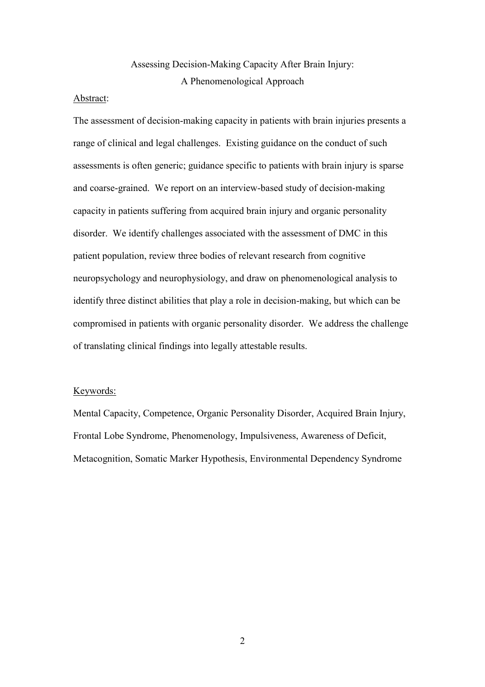## Assessing Decision-Making Capacity After Brain Injury: A Phenomenological Approach

#### Abstract:

The assessment of decision-making capacity in patients with brain injuries presents a range of clinical and legal challenges. Existing guidance on the conduct of such assessments is often generic; guidance specific to patients with brain injury is sparse and coarse-grained. We report on an interview-based study of decision-making capacity in patients suffering from acquired brain injury and organic personality disorder. We identify challenges associated with the assessment of DMC in this patient population, review three bodies of relevant research from cognitive neuropsychology and neurophysiology, and draw on phenomenological analysis to identify three distinct abilities that play a role in decision-making, but which can be compromised in patients with organic personality disorder. We address the challenge of translating clinical findings into legally attestable results.

## Keywords:

Mental Capacity, Competence, Organic Personality Disorder, Acquired Brain Injury, Frontal Lobe Syndrome, Phenomenology, Impulsiveness, Awareness of Deficit, Metacognition, Somatic Marker Hypothesis, Environmental Dependency Syndrome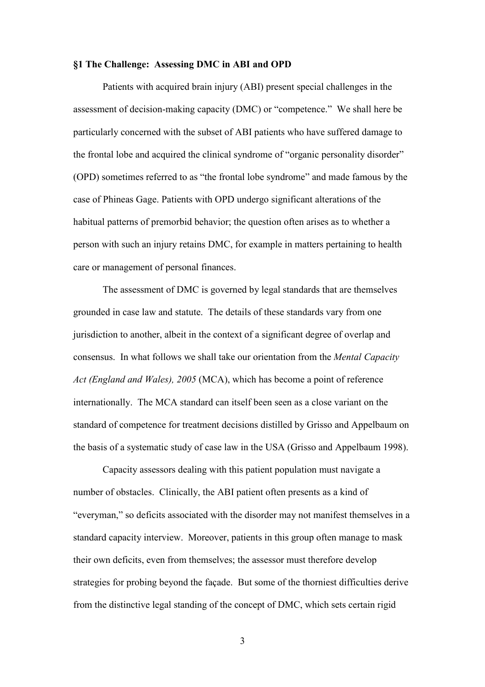#### **§1 The Challenge: Assessing DMC in ABI and OPD**

Patients with acquired brain injury (ABI) present special challenges in the assessment of decision-making capacity (DMC) or "competence." We shall here be particularly concerned with the subset of ABI patients who have suffered damage to the frontal lobe and acquired the clinical syndrome of "organic personality disorder" (OPD) sometimes referred to as "the frontal lobe syndrome" and made famous by the case of Phineas Gage. Patients with OPD undergo significant alterations of the habitual patterns of premorbid behavior; the question often arises as to whether a person with such an injury retains DMC, for example in matters pertaining to health care or management of personal finances.

The assessment of DMC is governed by legal standards that are themselves grounded in case law and statute. The details of these standards vary from one jurisdiction to another, albeit in the context of a significant degree of overlap and consensus. In what follows we shall take our orientation from the *Mental Capacity Act (England and Wales), 2005* (MCA), which has become a point of reference internationally. The MCA standard can itself been seen as a close variant on the standard of competence for treatment decisions distilled by Grisso and Appelbaum on the basis of a systematic study of case law in the USA (Grisso and Appelbaum 1998).

Capacity assessors dealing with this patient population must navigate a number of obstacles. Clinically, the ABI patient often presents as a kind of "everyman," so deficits associated with the disorder may not manifest themselves in a standard capacity interview. Moreover, patients in this group often manage to mask their own deficits, even from themselves; the assessor must therefore develop strategies for probing beyond the façade. But some of the thorniest difficulties derive from the distinctive legal standing of the concept of DMC, which sets certain rigid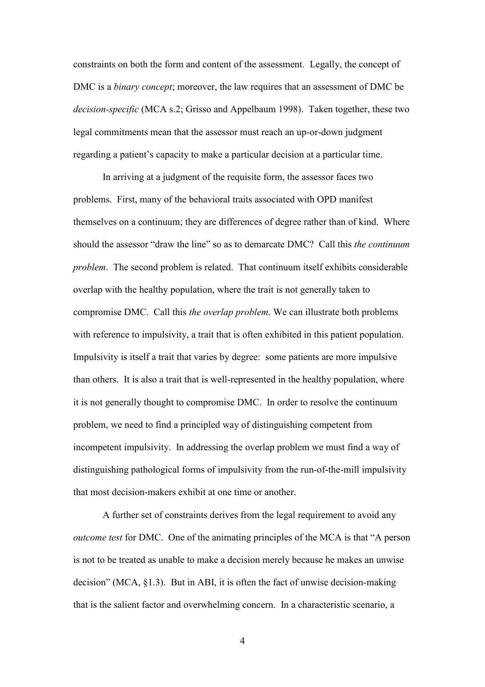constraints on both the form and content of the assessment. Legally, the concept of DMC is a *binary concept*; moreover, the law requires that an assessment of DMC be *decision-specific* (MCA s.2; Grisso and Appelbaum 1998). Taken together, these two legal commitments mean that the assessor must reach an up-or-down judgment regarding a patient's capacity to make a particular decision at a particular time.

In arriving at a judgment of the requisite form, the assessor faces two problems. First, many of the behavioral traits associated with OPD manifest themselves on a continuum; they are differences of degree rather than of kind. Where should the assessor "draw the line" so as to demarcate DMC? Call this *the continuum problem*. The second problem is related. That continuum itself exhibits considerable overlap with the healthy population, where the trait is not generally taken to compromise DMC. Call this *the overlap problem*. We can illustrate both problems with reference to impulsivity, a trait that is often exhibited in this patient population. Impulsivity is itself a trait that varies by degree: some patients are more impulsive than others. It is also a trait that is well-represented in the healthy population, where it is not generally thought to compromise DMC. In order to resolve the continuum problem, we need to find a principled way of distinguishing competent from incompetent impulsivity. In addressing the overlap problem we must find a way of distinguishing pathological forms of impulsivity from the run-of-the-mill impulsivity that most decision-makers exhibit at one time or another.

A further set of constraints derives from the legal requirement to avoid any *outcome test* for DMC. One of the animating principles of the MCA is that "A person is not to be treated as unable to make a decision merely because he makes an unwise decision" (MCA, §1.3). But in ABI, it is often the fact of unwise decision-making that is the salient factor and overwhelming concern. In a characteristic scenario, a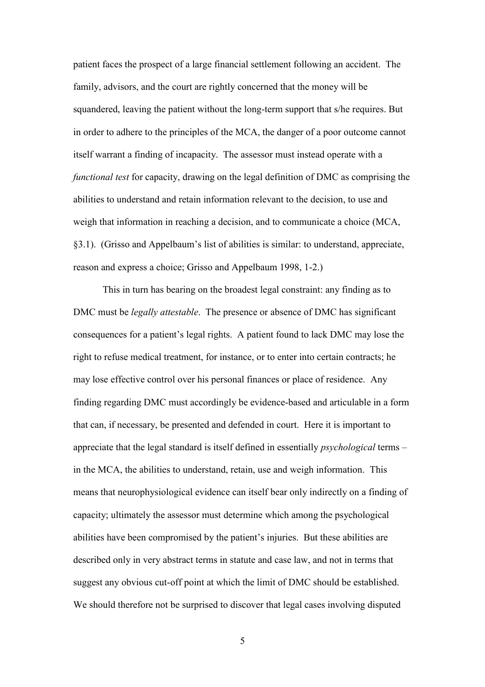patient faces the prospect of a large financial settlement following an accident. The family, advisors, and the court are rightly concerned that the money will be squandered, leaving the patient without the long-term support that s/he requires. But in order to adhere to the principles of the MCA, the danger of a poor outcome cannot itself warrant a finding of incapacity. The assessor must instead operate with a *functional test* for capacity, drawing on the legal definition of DMC as comprising the abilities to understand and retain information relevant to the decision, to use and weigh that information in reaching a decision, and to communicate a choice (MCA, §3.1). (Grisso and Appelbaum's list of abilities is similar: to understand, appreciate, reason and express a choice; Grisso and Appelbaum 1998, 1-2.)

This in turn has bearing on the broadest legal constraint: any finding as to DMC must be *legally attestable*. The presence or absence of DMC has significant consequences for a patient's legal rights. A patient found to lack DMC may lose the right to refuse medical treatment, for instance, or to enter into certain contracts; he may lose effective control over his personal finances or place of residence. Any finding regarding DMC must accordingly be evidence-based and articulable in a form that can, if necessary, be presented and defended in court. Here it is important to appreciate that the legal standard is itself defined in essentially *psychological* terms – in the MCA, the abilities to understand, retain, use and weigh information. This means that neurophysiological evidence can itself bear only indirectly on a finding of capacity; ultimately the assessor must determine which among the psychological abilities have been compromised by the patient's injuries. But these abilities are described only in very abstract terms in statute and case law, and not in terms that suggest any obvious cut-off point at which the limit of DMC should be established. We should therefore not be surprised to discover that legal cases involving disputed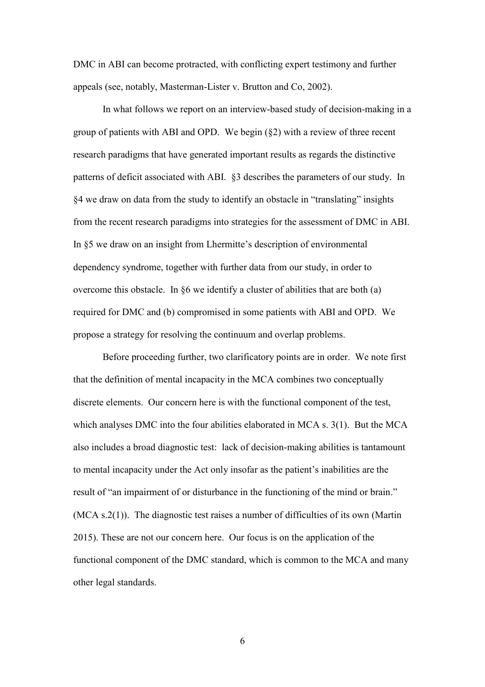DMC in ABI can become protracted, with conflicting expert testimony and further appeals (see, notably, Masterman-Lister v. Brutton and Co, 2002).

In what follows we report on an interview-based study of decision-making in a group of patients with ABI and OPD. We begin (§2) with a review of three recent research paradigms that have generated important results as regards the distinctive patterns of deficit associated with ABI. §3 describes the parameters of our study. In §4 we draw on data from the study to identify an obstacle in "translating" insights from the recent research paradigms into strategies for the assessment of DMC in ABI. In §5 we draw on an insight from Lhermitte's description of environmental dependency syndrome, together with further data from our study, in order to overcome this obstacle. In §6 we identify a cluster of abilities that are both (a) required for DMC and (b) compromised in some patients with ABI and OPD. We propose a strategy for resolving the continuum and overlap problems.

Before proceeding further, two clarificatory points are in order. We note first that the definition of mental incapacity in the MCA combines two conceptually discrete elements. Our concern here is with the functional component of the test, which analyses DMC into the four abilities elaborated in MCA s. 3(1). But the MCA also includes a broad diagnostic test: lack of decision-making abilities is tantamount to mental incapacity under the Act only insofar as the patient's inabilities are the result of "an impairment of or disturbance in the functioning of the mind or brain." (MCA s.2(1)). The diagnostic test raises a number of difficulties of its own (Martin 2015). These are not our concern here. Our focus is on the application of the functional component of the DMC standard, which is common to the MCA and many other legal standards.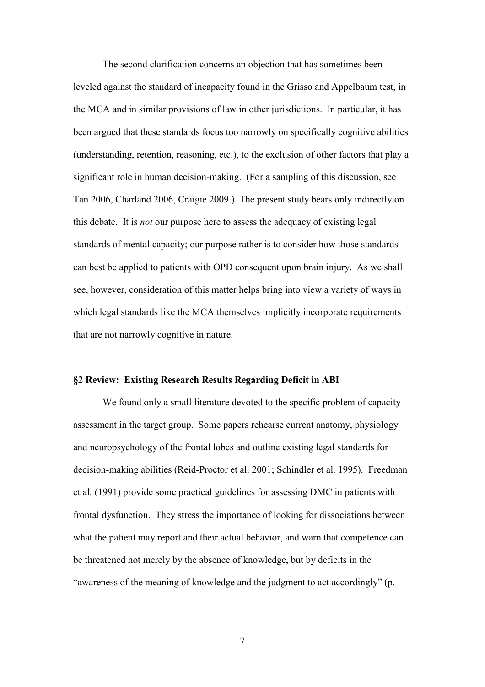The second clarification concerns an objection that has sometimes been leveled against the standard of incapacity found in the Grisso and Appelbaum test, in the MCA and in similar provisions of law in other jurisdictions. In particular, it has been argued that these standards focus too narrowly on specifically cognitive abilities (understanding, retention, reasoning, etc.), to the exclusion of other factors that play a significant role in human decision-making. (For a sampling of this discussion, see Tan 2006, Charland 2006, Craigie 2009.) The present study bears only indirectly on this debate. It is *not* our purpose here to assess the adequacy of existing legal standards of mental capacity; our purpose rather is to consider how those standards can best be applied to patients with OPD consequent upon brain injury. As we shall see, however, consideration of this matter helps bring into view a variety of ways in which legal standards like the MCA themselves implicitly incorporate requirements that are not narrowly cognitive in nature.

## **§2 Review: Existing Research Results Regarding Deficit in ABI**

We found only a small literature devoted to the specific problem of capacity assessment in the target group. Some papers rehearse current anatomy, physiology and neuropsychology of the frontal lobes and outline existing legal standards for decision-making abilities (Reid-Proctor et al. 2001; Schindler et al. 1995). Freedman et al*.* (1991) provide some practical guidelines for assessing DMC in patients with frontal dysfunction. They stress the importance of looking for dissociations between what the patient may report and their actual behavior, and warn that competence can be threatened not merely by the absence of knowledge, but by deficits in the "awareness of the meaning of knowledge and the judgment to act accordingly" (p.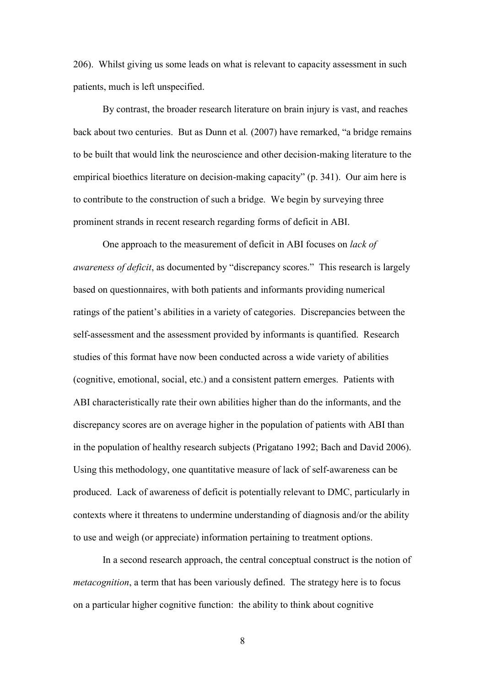206). Whilst giving us some leads on what is relevant to capacity assessment in such patients, much is left unspecified.

By contrast, the broader research literature on brain injury is vast, and reaches back about two centuries. But as Dunn et al*.* (2007) have remarked, "a bridge remains to be built that would link the neuroscience and other decision-making literature to the empirical bioethics literature on decision-making capacity" (p. 341). Our aim here is to contribute to the construction of such a bridge. We begin by surveying three prominent strands in recent research regarding forms of deficit in ABI.

One approach to the measurement of deficit in ABI focuses on *lack of awareness of deficit*, as documented by "discrepancy scores." This research is largely based on questionnaires, with both patients and informants providing numerical ratings of the patient's abilities in a variety of categories. Discrepancies between the self-assessment and the assessment provided by informants is quantified. Research studies of this format have now been conducted across a wide variety of abilities (cognitive, emotional, social, etc.) and a consistent pattern emerges. Patients with ABI characteristically rate their own abilities higher than do the informants, and the discrepancy scores are on average higher in the population of patients with ABI than in the population of healthy research subjects (Prigatano 1992; Bach and David 2006). Using this methodology, one quantitative measure of lack of self-awareness can be produced. Lack of awareness of deficit is potentially relevant to DMC, particularly in contexts where it threatens to undermine understanding of diagnosis and/or the ability to use and weigh (or appreciate) information pertaining to treatment options.

In a second research approach, the central conceptual construct is the notion of *metacognition*, a term that has been variously defined. The strategy here is to focus on a particular higher cognitive function: the ability to think about cognitive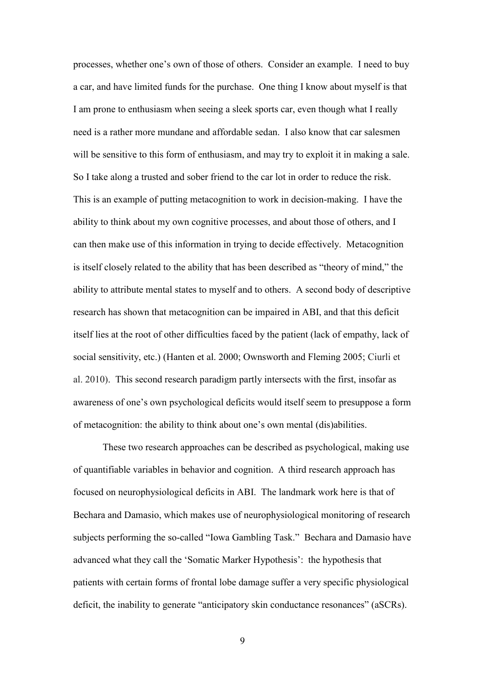processes, whether one's own of those of others. Consider an example. I need to buy a car, and have limited funds for the purchase. One thing I know about myself is that I am prone to enthusiasm when seeing a sleek sports car, even though what I really need is a rather more mundane and affordable sedan. I also know that car salesmen will be sensitive to this form of enthusiasm, and may try to exploit it in making a sale. So I take along a trusted and sober friend to the car lot in order to reduce the risk. This is an example of putting metacognition to work in decision-making. I have the ability to think about my own cognitive processes, and about those of others, and I can then make use of this information in trying to decide effectively. Metacognition is itself closely related to the ability that has been described as "theory of mind," the ability to attribute mental states to myself and to others. A second body of descriptive research has shown that metacognition can be impaired in ABI, and that this deficit itself lies at the root of other difficulties faced by the patient (lack of empathy, lack of social sensitivity, etc.) (Hanten et al. 2000; Ownsworth and Fleming 2005; Ciurli et al. 2010). This second research paradigm partly intersects with the first, insofar as awareness of one's own psychological deficits would itself seem to presuppose a form of metacognition: the ability to think about one's own mental (dis)abilities.

These two research approaches can be described as psychological, making use of quantifiable variables in behavior and cognition. A third research approach has focused on neurophysiological deficits in ABI. The landmark work here is that of Bechara and Damasio, which makes use of neurophysiological monitoring of research subjects performing the so-called "Iowa Gambling Task." Bechara and Damasio have advanced what they call the 'Somatic Marker Hypothesis': the hypothesis that patients with certain forms of frontal lobe damage suffer a very specific physiological deficit, the inability to generate "anticipatory skin conductance resonances" (aSCRs).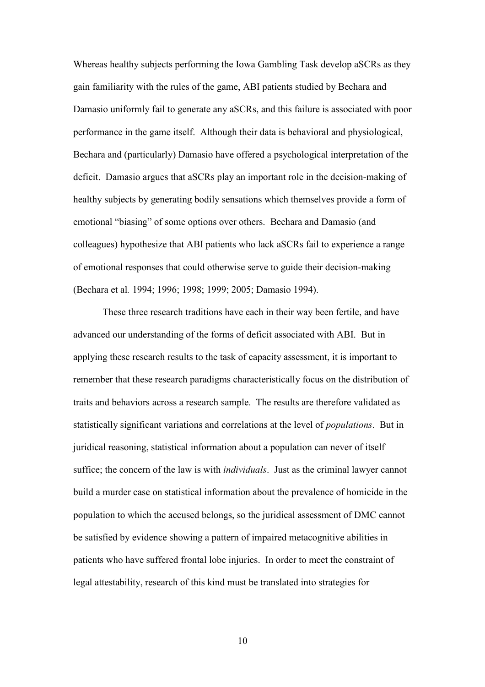Whereas healthy subjects performing the Iowa Gambling Task develop aSCRs as they gain familiarity with the rules of the game, ABI patients studied by Bechara and Damasio uniformly fail to generate any aSCRs, and this failure is associated with poor performance in the game itself. Although their data is behavioral and physiological, Bechara and (particularly) Damasio have offered a psychological interpretation of the deficit. Damasio argues that aSCRs play an important role in the decision-making of healthy subjects by generating bodily sensations which themselves provide a form of emotional "biasing" of some options over others. Bechara and Damasio (and colleagues) hypothesize that ABI patients who lack aSCRs fail to experience a range of emotional responses that could otherwise serve to guide their decision-making (Bechara et al*.* 1994; 1996; 1998; 1999; 2005; Damasio 1994).

These three research traditions have each in their way been fertile, and have advanced our understanding of the forms of deficit associated with ABI. But in applying these research results to the task of capacity assessment, it is important to remember that these research paradigms characteristically focus on the distribution of traits and behaviors across a research sample. The results are therefore validated as statistically significant variations and correlations at the level of *populations*. But in juridical reasoning, statistical information about a population can never of itself suffice; the concern of the law is with *individuals*. Just as the criminal lawyer cannot build a murder case on statistical information about the prevalence of homicide in the population to which the accused belongs, so the juridical assessment of DMC cannot be satisfied by evidence showing a pattern of impaired metacognitive abilities in patients who have suffered frontal lobe injuries. In order to meet the constraint of legal attestability, research of this kind must be translated into strategies for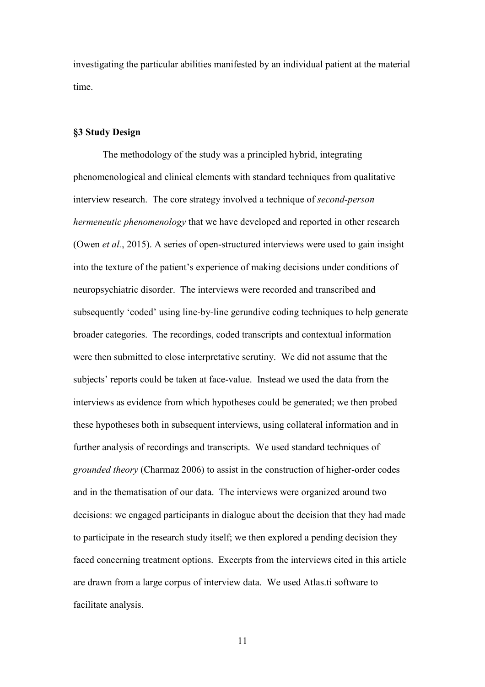investigating the particular abilities manifested by an individual patient at the material time.

## **§3 Study Design**

The methodology of the study was a principled hybrid, integrating phenomenological and clinical elements with standard techniques from qualitative interview research. The core strategy involved a technique of *second-person hermeneutic phenomenology* that we have developed and reported in other research (Owen *et al.*, 2015). A series of open-structured interviews were used to gain insight into the texture of the patient's experience of making decisions under conditions of neuropsychiatric disorder. The interviews were recorded and transcribed and subsequently 'coded' using line-by-line gerundive coding techniques to help generate broader categories. The recordings, coded transcripts and contextual information were then submitted to close interpretative scrutiny. We did not assume that the subjects' reports could be taken at face-value. Instead we used the data from the interviews as evidence from which hypotheses could be generated; we then probed these hypotheses both in subsequent interviews, using collateral information and in further analysis of recordings and transcripts. We used standard techniques of *grounded theory* (Charmaz 2006) to assist in the construction of higher-order codes and in the thematisation of our data. The interviews were organized around two decisions: we engaged participants in dialogue about the decision that they had made to participate in the research study itself; we then explored a pending decision they faced concerning treatment options. Excerpts from the interviews cited in this article are drawn from a large corpus of interview data. We used Atlas.ti software to facilitate analysis.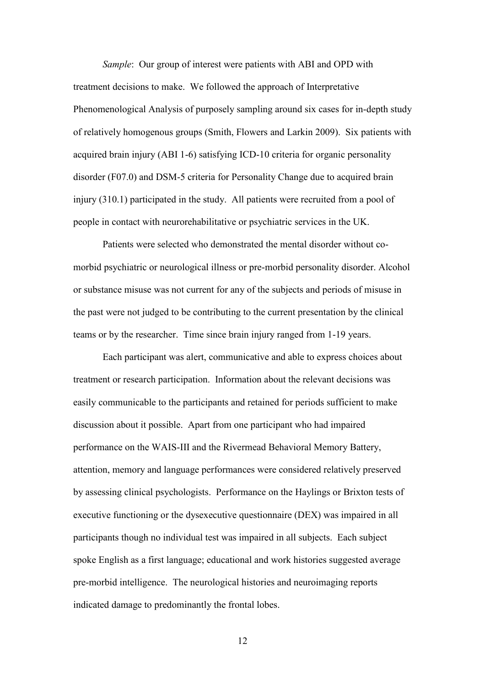*Sample*: Our group of interest were patients with ABI and OPD with treatment decisions to make. We followed the approach of Interpretative Phenomenological Analysis of purposely sampling around six cases for in-depth study of relatively homogenous groups (Smith, Flowers and Larkin 2009). Six patients with acquired brain injury (ABI 1-6) satisfying ICD-10 criteria for organic personality disorder (F07.0) and DSM-5 criteria for Personality Change due to acquired brain injury (310.1) participated in the study. All patients were recruited from a pool of people in contact with neurorehabilitative or psychiatric services in the UK.

Patients were selected who demonstrated the mental disorder without comorbid psychiatric or neurological illness or pre-morbid personality disorder. Alcohol or substance misuse was not current for any of the subjects and periods of misuse in the past were not judged to be contributing to the current presentation by the clinical teams or by the researcher. Time since brain injury ranged from 1-19 years.

Each participant was alert, communicative and able to express choices about treatment or research participation. Information about the relevant decisions was easily communicable to the participants and retained for periods sufficient to make discussion about it possible. Apart from one participant who had impaired performance on the WAIS-III and the Rivermead Behavioral Memory Battery, attention, memory and language performances were considered relatively preserved by assessing clinical psychologists. Performance on the Haylings or Brixton tests of executive functioning or the dysexecutive questionnaire (DEX) was impaired in all participants though no individual test was impaired in all subjects. Each subject spoke English as a first language; educational and work histories suggested average pre-morbid intelligence. The neurological histories and neuroimaging reports indicated damage to predominantly the frontal lobes.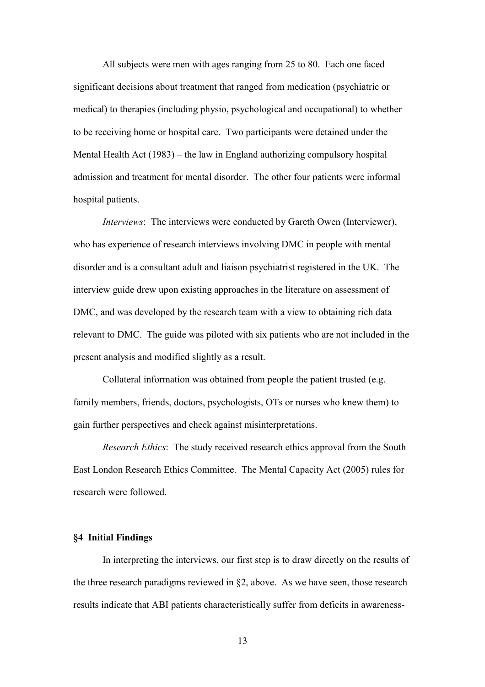All subjects were men with ages ranging from 25 to 80. Each one faced significant decisions about treatment that ranged from medication (psychiatric or medical) to therapies (including physio, psychological and occupational) to whether to be receiving home or hospital care. Two participants were detained under the Mental Health Act (1983) – the law in England authorizing compulsory hospital admission and treatment for mental disorder. The other four patients were informal hospital patients.

*Interviews*: The interviews were conducted by Gareth Owen (Interviewer), who has experience of research interviews involving DMC in people with mental disorder and is a consultant adult and liaison psychiatrist registered in the UK. The interview guide drew upon existing approaches in the literature on assessment of DMC, and was developed by the research team with a view to obtaining rich data relevant to DMC. The guide was piloted with six patients who are not included in the present analysis and modified slightly as a result.

Collateral information was obtained from people the patient trusted (e.g. family members, friends, doctors, psychologists, OTs or nurses who knew them) to gain further perspectives and check against misinterpretations.

*Research Ethics*: The study received research ethics approval from the South East London Research Ethics Committee. The Mental Capacity Act (2005) rules for research were followed.

## **§4 Initial Findings**

In interpreting the interviews, our first step is to draw directly on the results of the three research paradigms reviewed in §2, above. As we have seen, those research results indicate that ABI patients characteristically suffer from deficits in awareness-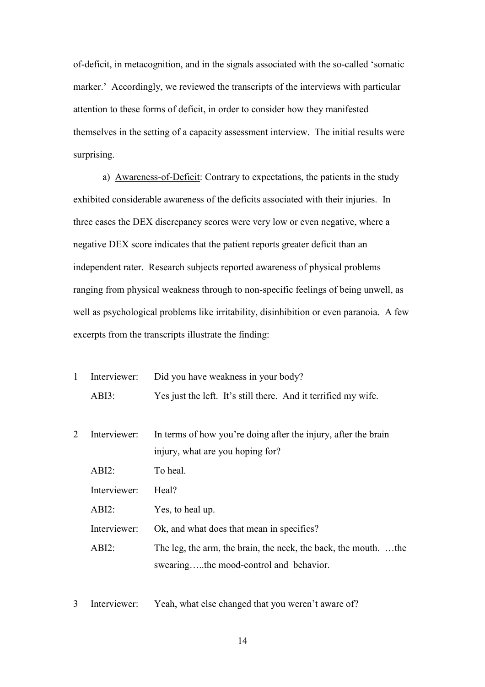of-deficit, in metacognition, and in the signals associated with the so-called 'somatic marker.' Accordingly, we reviewed the transcripts of the interviews with particular attention to these forms of deficit, in order to consider how they manifested themselves in the setting of a capacity assessment interview. The initial results were surprising.

a) Awareness-of-Deficit: Contrary to expectations, the patients in the study exhibited considerable awareness of the deficits associated with their injuries. In three cases the DEX discrepancy scores were very low or even negative, where a negative DEX score indicates that the patient reports greater deficit than an independent rater. Research subjects reported awareness of physical problems ranging from physical weakness through to non-specific feelings of being unwell, as well as psychological problems like irritability, disinhibition or even paranoia. A few excerpts from the transcripts illustrate the finding:

|          | Interviewer: Did you have weakness in your body?               |
|----------|----------------------------------------------------------------|
| $ABI3$ : | Yes just the left. It's still there. And it terrified my wife. |

- 2 Interviewer: In terms of how you're doing after the injury, after the brain injury, what are you hoping for? ABI2: To heal. Interviewer: Heal? ABI2: Yes, to heal up. Interviewer: Ok, and what does that mean in specifics? ABI2: The leg, the arm, the brain, the neck, the back, the mouth. …the swearing…..the mood-control and behavior.
- 3 Interviewer: Yeah, what else changed that you weren't aware of?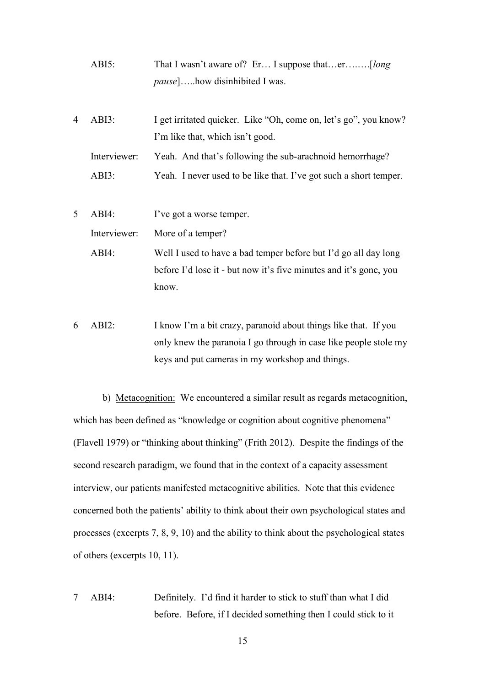- ABI5: That I wasn't aware of? Er… I suppose that…er….….[*long pause*]…..how disinhibited I was.
- 4 ABI3: I get irritated quicker. Like "Oh, come on, let's go", you know? I'm like that, which isn't good. Interviewer: Yeah. And that's following the sub-arachnoid hemorrhage? ABI3: Yeah. I never used to be like that. I've got such a short temper.
- 5 ABI4: I've got a worse temper. Interviewer: More of a temper? ABI4: Well I used to have a bad temper before but I'd go all day long before I'd lose it - but now it's five minutes and it's gone, you

know.

6 ABI2: I know I'm a bit crazy, paranoid about things like that. If you only knew the paranoia I go through in case like people stole my keys and put cameras in my workshop and things.

b) Metacognition: We encountered a similar result as regards metacognition, which has been defined as "knowledge or cognition about cognitive phenomena" (Flavell 1979) or "thinking about thinking" (Frith 2012). Despite the findings of the second research paradigm, we found that in the context of a capacity assessment interview, our patients manifested metacognitive abilities. Note that this evidence concerned both the patients' ability to think about their own psychological states and processes (excerpts 7, 8, 9, 10) and the ability to think about the psychological states of others (excerpts 10, 11).

7 ABI4: Definitely. I'd find it harder to stick to stuff than what I did before. Before, if I decided something then I could stick to it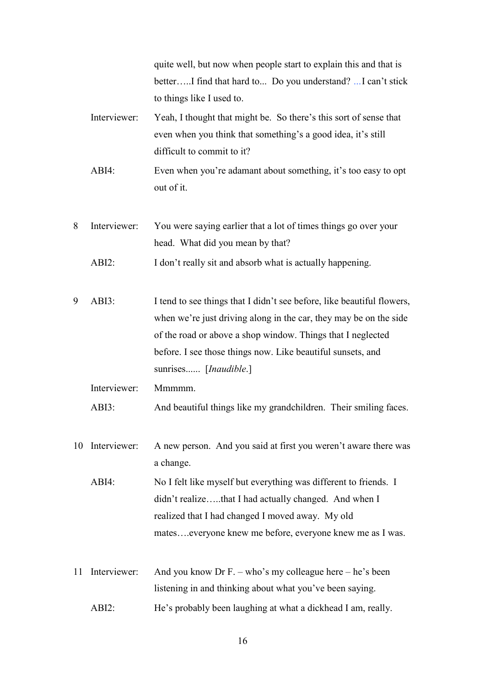|    |              | quite well, but now when people start to explain this and that is<br>betterI find that hard to Do you understand? I can't stick<br>to things like I used to.                                                                                                                                       |
|----|--------------|----------------------------------------------------------------------------------------------------------------------------------------------------------------------------------------------------------------------------------------------------------------------------------------------------|
|    | Interviewer: | Yeah, I thought that might be. So there's this sort of sense that<br>even when you think that something's a good idea, it's still<br>difficult to commit to it?                                                                                                                                    |
|    | $ABI4$ :     | Even when you're adamant about something, it's too easy to opt<br>out of it.                                                                                                                                                                                                                       |
| 8  | Interviewer: | You were saying earlier that a lot of times things go over your<br>head. What did you mean by that?                                                                                                                                                                                                |
|    | $ABI2$ :     | I don't really sit and absorb what is actually happening.                                                                                                                                                                                                                                          |
| 9  | ABI3:        | I tend to see things that I didn't see before, like beautiful flowers,<br>when we're just driving along in the car, they may be on the side<br>of the road or above a shop window. Things that I neglected<br>before. I see those things now. Like beautiful sunsets, and<br>sunrises [Inaudible.] |
|    | Interviewer: | Mmmmm.                                                                                                                                                                                                                                                                                             |
|    | ABI3:        | And beautiful things like my grandchildren. Their smiling faces.                                                                                                                                                                                                                                   |
| 10 | Interviewer: | A new person. And you said at first you weren't aware there was<br>a change.                                                                                                                                                                                                                       |
|    | ABI4:        | No I felt like myself but everything was different to friends. I<br>didn't realizethat I had actually changed. And when I<br>realized that I had changed I moved away. My old<br>mateseveryone knew me before, everyone knew me as I was.                                                          |
| 11 | Interviewer: | And you know Dr F. – who's my colleague here – he's been                                                                                                                                                                                                                                           |
|    |              | listening in and thinking about what you've been saying.                                                                                                                                                                                                                                           |
|    | ABI2:        | He's probably been laughing at what a dickhead I am, really.                                                                                                                                                                                                                                       |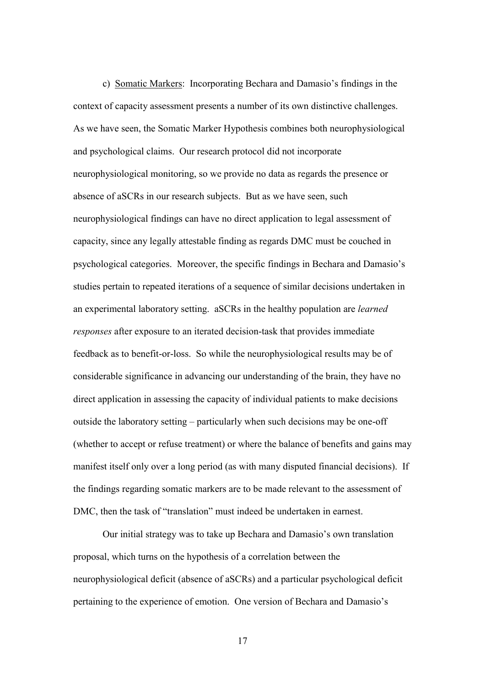c) Somatic Markers: Incorporating Bechara and Damasio's findings in the context of capacity assessment presents a number of its own distinctive challenges. As we have seen, the Somatic Marker Hypothesis combines both neurophysiological and psychological claims. Our research protocol did not incorporate neurophysiological monitoring, so we provide no data as regards the presence or absence of aSCRs in our research subjects. But as we have seen, such neurophysiological findings can have no direct application to legal assessment of capacity, since any legally attestable finding as regards DMC must be couched in psychological categories. Moreover, the specific findings in Bechara and Damasio's studies pertain to repeated iterations of a sequence of similar decisions undertaken in an experimental laboratory setting. aSCRs in the healthy population are *learned responses* after exposure to an iterated decision-task that provides immediate feedback as to benefit-or-loss. So while the neurophysiological results may be of considerable significance in advancing our understanding of the brain, they have no direct application in assessing the capacity of individual patients to make decisions outside the laboratory setting – particularly when such decisions may be one-off (whether to accept or refuse treatment) or where the balance of benefits and gains may manifest itself only over a long period (as with many disputed financial decisions). If the findings regarding somatic markers are to be made relevant to the assessment of DMC, then the task of "translation" must indeed be undertaken in earnest.

Our initial strategy was to take up Bechara and Damasio's own translation proposal, which turns on the hypothesis of a correlation between the neurophysiological deficit (absence of aSCRs) and a particular psychological deficit pertaining to the experience of emotion. One version of Bechara and Damasio's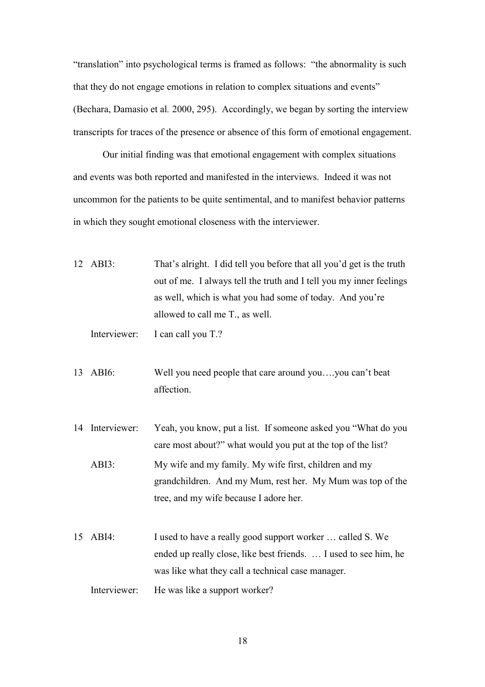"translation" into psychological terms is framed as follows: "the abnormality is such that they do not engage emotions in relation to complex situations and events" (Bechara, Damasio et al*.* 2000, 295). Accordingly, we began by sorting the interview transcripts for traces of the presence or absence of this form of emotional engagement.

Our initial finding was that emotional engagement with complex situations and events was both reported and manifested in the interviews. Indeed it was not uncommon for the patients to be quite sentimental, and to manifest behavior patterns in which they sought emotional closeness with the interviewer.

| $12$ ABI3: | That's alright. I did tell you before that all you'd get is the truth |
|------------|-----------------------------------------------------------------------|
|            | out of me. I always tell the truth and I tell you my inner feelings   |
|            | as well, which is what you had some of today. And you're              |
|            | allowed to call me T <sub>r</sub> , as well.                          |
|            |                                                                       |

Interviewer: I can call you T.?

13 ABI6: Well you need people that care around you….you can't beat affection.

- 14 Interviewer: Yeah, you know, put a list. If someone asked you "What do you care most about?" what would you put at the top of the list? ABI3: My wife and my family. My wife first, children and my grandchildren. And my Mum, rest her. My Mum was top of the tree, and my wife because I adore her.
- 15 ABI4: I used to have a really good support worker … called S. We ended up really close, like best friends. … I used to see him, he was like what they call a technical case manager.

Interviewer: He was like a support worker?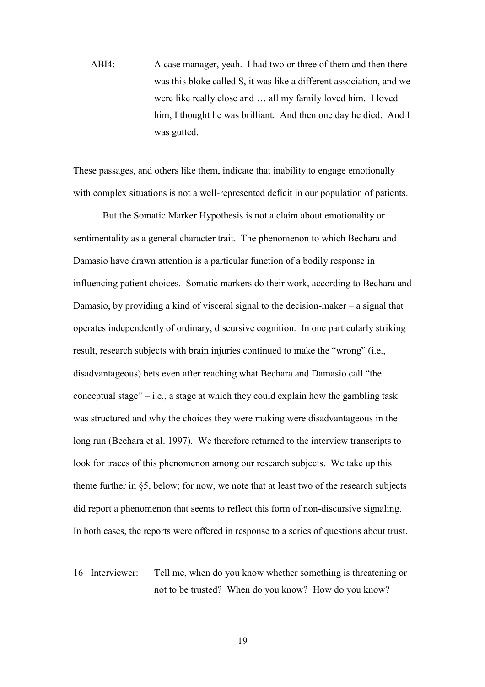ABI4: A case manager, yeah. I had two or three of them and then there was this bloke called S, it was like a different association, and we were like really close and … all my family loved him. I loved him, I thought he was brilliant. And then one day he died. And I was gutted.

These passages, and others like them, indicate that inability to engage emotionally with complex situations is not a well-represented deficit in our population of patients.

But the Somatic Marker Hypothesis is not a claim about emotionality or sentimentality as a general character trait. The phenomenon to which Bechara and Damasio have drawn attention is a particular function of a bodily response in influencing patient choices. Somatic markers do their work, according to Bechara and Damasio, by providing a kind of visceral signal to the decision-maker – a signal that operates independently of ordinary, discursive cognition. In one particularly striking result, research subjects with brain injuries continued to make the "wrong" (i.e., disadvantageous) bets even after reaching what Bechara and Damasio call "the conceptual stage" – i.e., a stage at which they could explain how the gambling task was structured and why the choices they were making were disadvantageous in the long run (Bechara et al. 1997). We therefore returned to the interview transcripts to look for traces of this phenomenon among our research subjects. We take up this theme further in §5, below; for now, we note that at least two of the research subjects did report a phenomenon that seems to reflect this form of non-discursive signaling. In both cases, the reports were offered in response to a series of questions about trust.

16 Interviewer: Tell me, when do you know whether something is threatening or not to be trusted? When do you know? How do you know?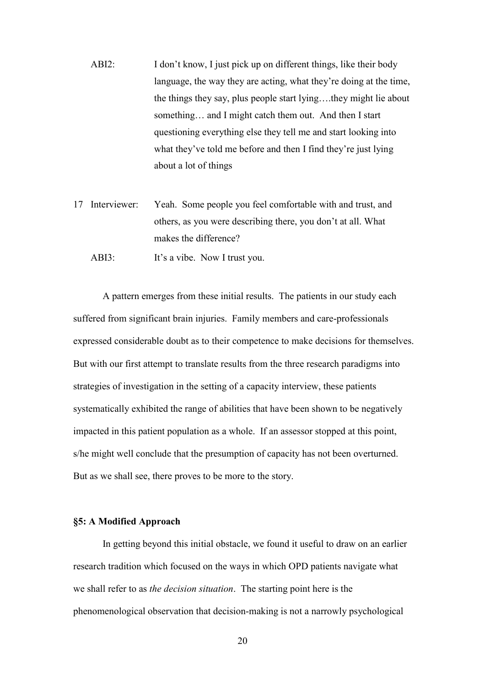- ABI2: I don't know, I just pick up on different things, like their body language, the way they are acting, what they're doing at the time, the things they say, plus people start lying….they might lie about something… and I might catch them out. And then I start questioning everything else they tell me and start looking into what they've told me before and then I find they're just lying about a lot of things
- 17 Interviewer: Yeah. Some people you feel comfortable with and trust, and others, as you were describing there, you don't at all. What makes the difference?

ABI3: It's a vibe. Now I trust you.

A pattern emerges from these initial results. The patients in our study each suffered from significant brain injuries. Family members and care-professionals expressed considerable doubt as to their competence to make decisions for themselves. But with our first attempt to translate results from the three research paradigms into strategies of investigation in the setting of a capacity interview, these patients systematically exhibited the range of abilities that have been shown to be negatively impacted in this patient population as a whole. If an assessor stopped at this point, s/he might well conclude that the presumption of capacity has not been overturned. But as we shall see, there proves to be more to the story.

#### **§5: A Modified Approach**

In getting beyond this initial obstacle, we found it useful to draw on an earlier research tradition which focused on the ways in which OPD patients navigate what we shall refer to as *the decision situation*. The starting point here is the phenomenological observation that decision-making is not a narrowly psychological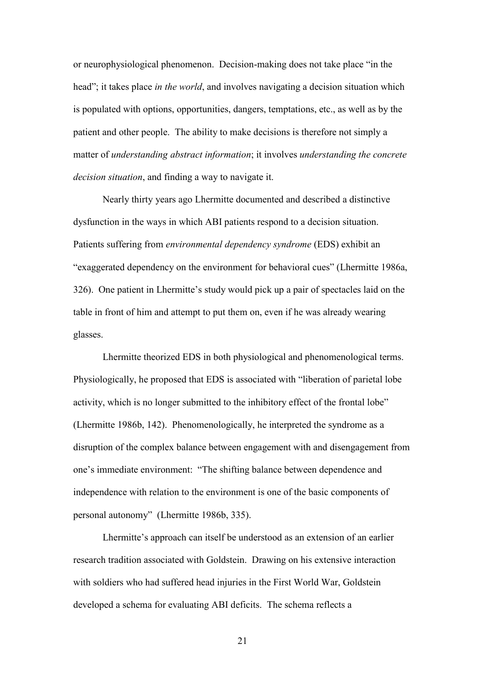or neurophysiological phenomenon. Decision-making does not take place "in the head"; it takes place *in the world*, and involves navigating a decision situation which is populated with options, opportunities, dangers, temptations, etc., as well as by the patient and other people. The ability to make decisions is therefore not simply a matter of *understanding abstract information*; it involves *understanding the concrete decision situation*, and finding a way to navigate it.

Nearly thirty years ago Lhermitte documented and described a distinctive dysfunction in the ways in which ABI patients respond to a decision situation. Patients suffering from *environmental dependency syndrome* (EDS) exhibit an "exaggerated dependency on the environment for behavioral cues" (Lhermitte 1986a, 326). One patient in Lhermitte's study would pick up a pair of spectacles laid on the table in front of him and attempt to put them on, even if he was already wearing glasses.

Lhermitte theorized EDS in both physiological and phenomenological terms. Physiologically, he proposed that EDS is associated with "liberation of parietal lobe activity, which is no longer submitted to the inhibitory effect of the frontal lobe" (Lhermitte 1986b, 142). Phenomenologically, he interpreted the syndrome as a disruption of the complex balance between engagement with and disengagement from one's immediate environment: "The shifting balance between dependence and independence with relation to the environment is one of the basic components of personal autonomy" (Lhermitte 1986b, 335).

Lhermitte's approach can itself be understood as an extension of an earlier research tradition associated with Goldstein. Drawing on his extensive interaction with soldiers who had suffered head injuries in the First World War, Goldstein developed a schema for evaluating ABI deficits. The schema reflects a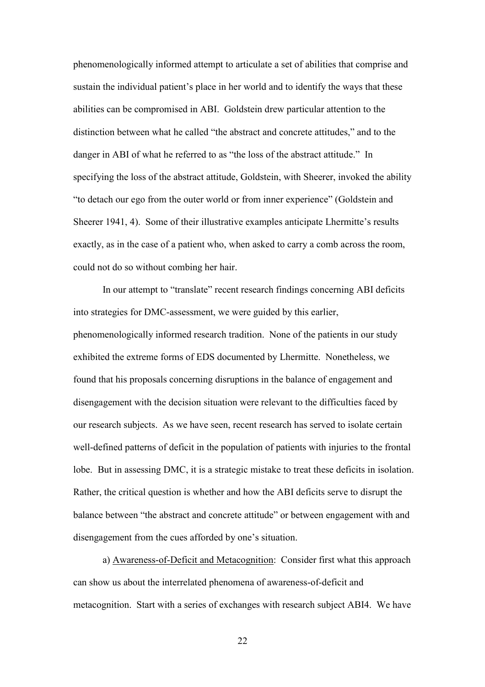phenomenologically informed attempt to articulate a set of abilities that comprise and sustain the individual patient's place in her world and to identify the ways that these abilities can be compromised in ABI. Goldstein drew particular attention to the distinction between what he called "the abstract and concrete attitudes," and to the danger in ABI of what he referred to as "the loss of the abstract attitude." In specifying the loss of the abstract attitude, Goldstein, with Sheerer, invoked the ability "to detach our ego from the outer world or from inner experience" (Goldstein and Sheerer 1941, 4). Some of their illustrative examples anticipate Lhermitte's results exactly, as in the case of a patient who, when asked to carry a comb across the room, could not do so without combing her hair.

In our attempt to "translate" recent research findings concerning ABI deficits into strategies for DMC-assessment, we were guided by this earlier, phenomenologically informed research tradition. None of the patients in our study exhibited the extreme forms of EDS documented by Lhermitte. Nonetheless, we found that his proposals concerning disruptions in the balance of engagement and disengagement with the decision situation were relevant to the difficulties faced by our research subjects. As we have seen, recent research has served to isolate certain well-defined patterns of deficit in the population of patients with injuries to the frontal lobe. But in assessing DMC, it is a strategic mistake to treat these deficits in isolation. Rather, the critical question is whether and how the ABI deficits serve to disrupt the balance between "the abstract and concrete attitude" or between engagement with and disengagement from the cues afforded by one's situation.

a) Awareness-of-Deficit and Metacognition: Consider first what this approach can show us about the interrelated phenomena of awareness-of-deficit and metacognition. Start with a series of exchanges with research subject ABI4. We have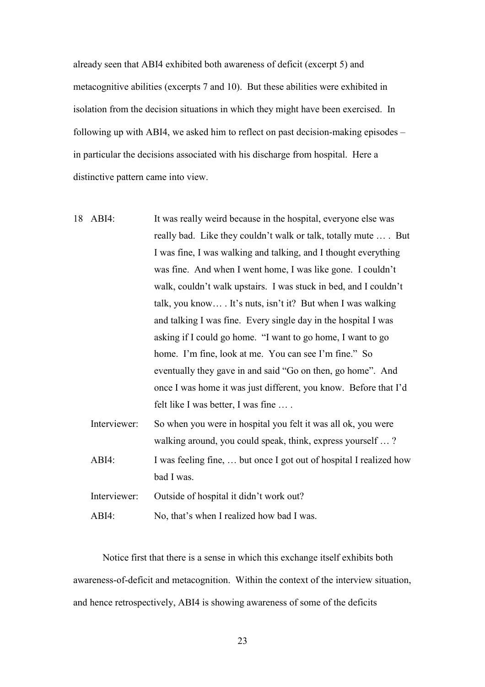already seen that ABI4 exhibited both awareness of deficit (excerpt 5) and metacognitive abilities (excerpts 7 and 10). But these abilities were exhibited in isolation from the decision situations in which they might have been exercised. In following up with ABI4, we asked him to reflect on past decision-making episodes – in particular the decisions associated with his discharge from hospital. Here a distinctive pattern came into view.

- 18 ABI4: It was really weird because in the hospital, everyone else was really bad. Like they couldn't walk or talk, totally mute … . But I was fine, I was walking and talking, and I thought everything was fine. And when I went home, I was like gone. I couldn't walk, couldn't walk upstairs. I was stuck in bed, and I couldn't talk, you know… . It's nuts, isn't it? But when I was walking and talking I was fine. Every single day in the hospital I was asking if I could go home. "I want to go home, I want to go home. I'm fine, look at me. You can see I'm fine." So eventually they gave in and said "Go on then, go home". And once I was home it was just different, you know. Before that I'd felt like I was better, I was fine … . Interviewer: So when you were in hospital you felt it was all ok, you were
	- walking around, you could speak, think, express yourself … ? ABI4: I was feeling fine, ... but once I got out of hospital I realized how bad I was.

Interviewer: Outside of hospital it didn't work out?

ABI4: No, that's when I realized how bad I was.

Notice first that there is a sense in which this exchange itself exhibits both awareness-of-deficit and metacognition. Within the context of the interview situation, and hence retrospectively, ABI4 is showing awareness of some of the deficits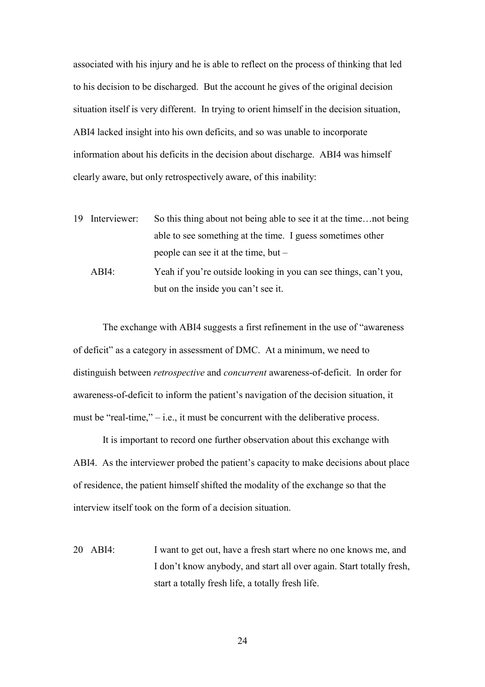associated with his injury and he is able to reflect on the process of thinking that led to his decision to be discharged. But the account he gives of the original decision situation itself is very different. In trying to orient himself in the decision situation, ABI4 lacked insight into his own deficits, and so was unable to incorporate information about his deficits in the decision about discharge. ABI4 was himself clearly aware, but only retrospectively aware, of this inability:

- 19 Interviewer: So this thing about not being able to see it at the time…not being able to see something at the time. I guess sometimes other people can see it at the time, but –
	- ABI4: Yeah if you're outside looking in you can see things, can't you, but on the inside you can't see it.

The exchange with ABI4 suggests a first refinement in the use of "awareness of deficit" as a category in assessment of DMC. At a minimum, we need to distinguish between *retrospective* and *concurrent* awareness-of-deficit. In order for awareness-of-deficit to inform the patient's navigation of the decision situation, it must be "real-time,"  $-$  i.e., it must be concurrent with the deliberative process.

It is important to record one further observation about this exchange with ABI4. As the interviewer probed the patient's capacity to make decisions about place of residence, the patient himself shifted the modality of the exchange so that the interview itself took on the form of a decision situation.

20 ABI4: I want to get out, have a fresh start where no one knows me, and I don't know anybody, and start all over again. Start totally fresh, start a totally fresh life, a totally fresh life.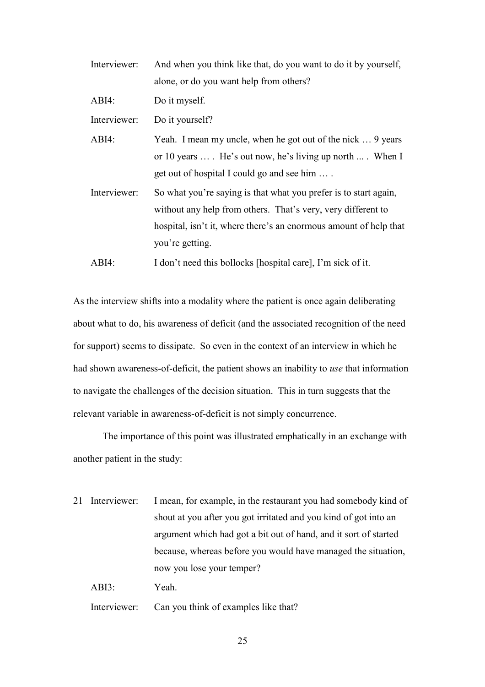- Interviewer: And when you think like that, do you want to do it by yourself, alone, or do you want help from others?
- ABI4: Do it myself.

Interviewer: Do it yourself?

- ABI4: Yeah. I mean my uncle, when he got out of the nick ... 9 years or 10 years … . He's out now, he's living up north ... . When I get out of hospital I could go and see him … .
- Interviewer: So what you're saying is that what you prefer is to start again, without any help from others. That's very, very different to hospital, isn't it, where there's an enormous amount of help that you're getting.
- ABI4: I don't need this bollocks [hospital care], I'm sick of it.

As the interview shifts into a modality where the patient is once again deliberating about what to do, his awareness of deficit (and the associated recognition of the need for support) seems to dissipate. So even in the context of an interview in which he had shown awareness-of-deficit, the patient shows an inability to *use* that information to navigate the challenges of the decision situation. This in turn suggests that the relevant variable in awareness-of-deficit is not simply concurrence.

The importance of this point was illustrated emphatically in an exchange with another patient in the study:

- 21 Interviewer: I mean, for example, in the restaurant you had somebody kind of shout at you after you got irritated and you kind of got into an argument which had got a bit out of hand, and it sort of started because, whereas before you would have managed the situation, now you lose your temper?
	- ABI3: Yeah.

Interviewer: Can you think of examples like that?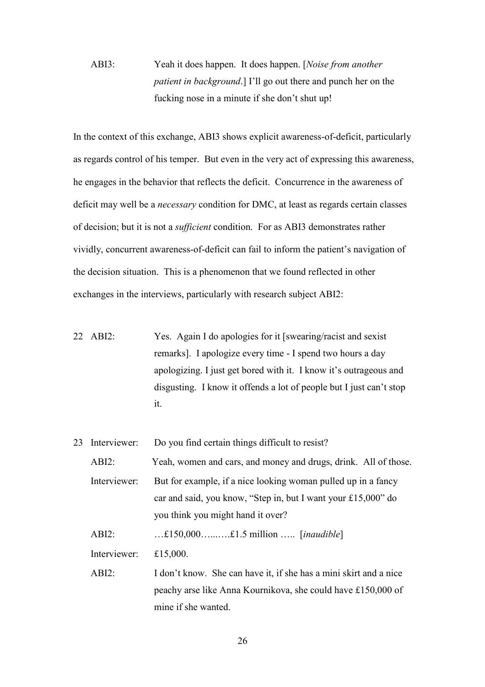# ABI3: Yeah it does happen. It does happen. [*Noise from another patient in background*.] I'll go out there and punch her on the fucking nose in a minute if she don't shut up!

In the context of this exchange, ABI3 shows explicit awareness-of-deficit, particularly as regards control of his temper. But even in the very act of expressing this awareness, he engages in the behavior that reflects the deficit. Concurrence in the awareness of deficit may well be a *necessary* condition for DMC, at least as regards certain classes of decision; but it is not a *sufficient* condition. For as ABI3 demonstrates rather vividly, concurrent awareness-of-deficit can fail to inform the patient's navigation of the decision situation. This is a phenomenon that we found reflected in other exchanges in the interviews, particularly with research subject ABI2:

22 ABI2: Yes. Again I do apologies for it [swearing/racist and sexist remarks]. I apologize every time - I spend two hours a day apologizing. I just get bored with it. I know it's outrageous and disgusting. I know it offends a lot of people but I just can't stop it.

| 23. | Interviewer: | Do you find certain things difficult to resist?                                                                                                                     |
|-----|--------------|---------------------------------------------------------------------------------------------------------------------------------------------------------------------|
|     | $ABI2$ :     | Yeah, women and cars, and money and drugs, drink. All of those.                                                                                                     |
|     | Interviewer: | But for example, if a nice looking woman pulled up in a fancy<br>car and said, you know, "Step in, but I want your £15,000" do<br>you think you might hand it over? |
|     | $ABI2$ :     | $£150,000$ $£1.5$ million  [ <i>inaudible</i> ]                                                                                                                     |
|     | Interviewer: | £15,000.                                                                                                                                                            |
|     | $ABI2$ :     | I don't know. She can have it, if she has a mini skirt and a nice                                                                                                   |
|     |              | peachy arse like Anna Kournikova, she could have £150,000 of                                                                                                        |
|     |              | mine if she wanted.                                                                                                                                                 |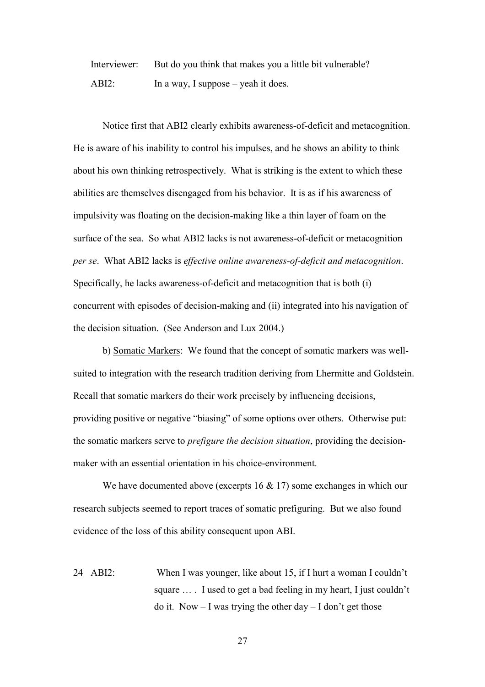Interviewer: But do you think that makes you a little bit vulnerable? ABI2: In a way, I suppose – yeah it does.

Notice first that ABI2 clearly exhibits awareness-of-deficit and metacognition. He is aware of his inability to control his impulses, and he shows an ability to think about his own thinking retrospectively. What is striking is the extent to which these abilities are themselves disengaged from his behavior. It is as if his awareness of impulsivity was floating on the decision-making like a thin layer of foam on the surface of the sea. So what ABI2 lacks is not awareness-of-deficit or metacognition *per se*. What ABI2 lacks is *effective online awareness-of-deficit and metacognition*. Specifically, he lacks awareness-of-deficit and metacognition that is both (i) concurrent with episodes of decision-making and (ii) integrated into his navigation of the decision situation. (See Anderson and Lux 2004.)

b) Somatic Markers: We found that the concept of somatic markers was wellsuited to integration with the research tradition deriving from Lhermitte and Goldstein. Recall that somatic markers do their work precisely by influencing decisions, providing positive or negative "biasing" of some options over others. Otherwise put: the somatic markers serve to *prefigure the decision situation*, providing the decisionmaker with an essential orientation in his choice-environment.

We have documented above (excerpts  $16 \& 17$ ) some exchanges in which our research subjects seemed to report traces of somatic prefiguring. But we also found evidence of the loss of this ability consequent upon ABI.

24 ABI2: When I was younger, like about 15, if I hurt a woman I couldn't square ... I used to get a bad feeling in my heart, I just couldn't do it. Now  $- I$  was trying the other day  $- I$  don't get those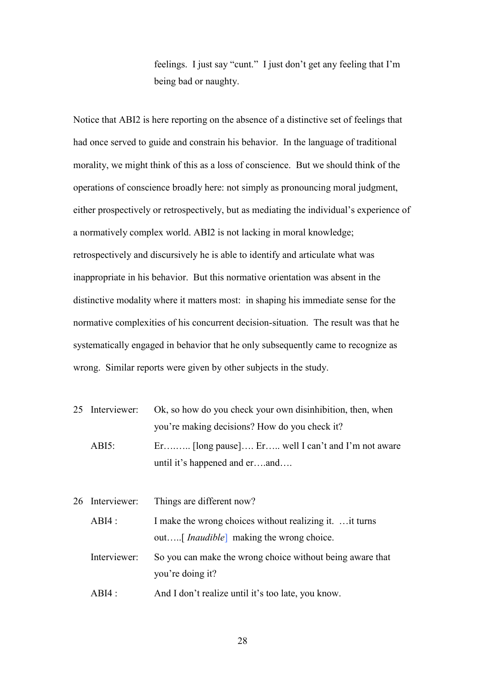feelings. I just say "cunt." I just don't get any feeling that I'm being bad or naughty.

Notice that ABI2 is here reporting on the absence of a distinctive set of feelings that had once served to guide and constrain his behavior. In the language of traditional morality, we might think of this as a loss of conscience. But we should think of the operations of conscience broadly here: not simply as pronouncing moral judgment, either prospectively or retrospectively, but as mediating the individual's experience of a normatively complex world. ABI2 is not lacking in moral knowledge; retrospectively and discursively he is able to identify and articulate what was inappropriate in his behavior. But this normative orientation was absent in the distinctive modality where it matters most: in shaping his immediate sense for the normative complexities of his concurrent decision-situation. The result was that he systematically engaged in behavior that he only subsequently came to recognize as wrong. Similar reports were given by other subjects in the study.

|          | 25 Interviewer: Ok, so how do you check your own disinhibition, then, when |
|----------|----------------------------------------------------------------------------|
|          | you're making decisions? How do you check it?                              |
| $ABI5$ : | $E_1$ [long pause] $E_1$ well I can't and I'm not aware                    |
|          | until it's happened and erand                                              |

26 Interviewer: Things are different now?

ABI4 : I make the wrong choices without realizing it. ... it turns out…..[ *Inaudible*] making the wrong choice.

Interviewer: So you can make the wrong choice without being aware that you're doing it?

ABI4 : And I don't realize until it's too late, you know.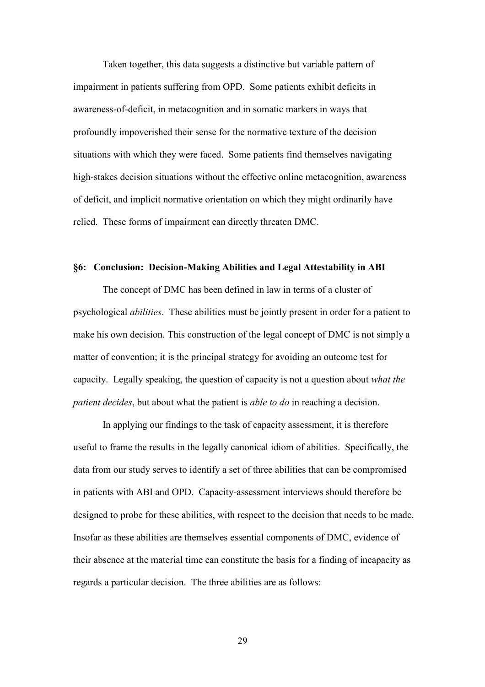Taken together, this data suggests a distinctive but variable pattern of impairment in patients suffering from OPD. Some patients exhibit deficits in awareness-of-deficit, in metacognition and in somatic markers in ways that profoundly impoverished their sense for the normative texture of the decision situations with which they were faced. Some patients find themselves navigating high-stakes decision situations without the effective online metacognition, awareness of deficit, and implicit normative orientation on which they might ordinarily have relied. These forms of impairment can directly threaten DMC.

#### **§6: Conclusion: Decision-Making Abilities and Legal Attestability in ABI**

The concept of DMC has been defined in law in terms of a cluster of psychological *abilities*. These abilities must be jointly present in order for a patient to make his own decision. This construction of the legal concept of DMC is not simply a matter of convention; it is the principal strategy for avoiding an outcome test for capacity. Legally speaking, the question of capacity is not a question about *what the patient decides*, but about what the patient is *able to do* in reaching a decision.

In applying our findings to the task of capacity assessment, it is therefore useful to frame the results in the legally canonical idiom of abilities. Specifically, the data from our study serves to identify a set of three abilities that can be compromised in patients with ABI and OPD. Capacity-assessment interviews should therefore be designed to probe for these abilities, with respect to the decision that needs to be made. Insofar as these abilities are themselves essential components of DMC, evidence of their absence at the material time can constitute the basis for a finding of incapacity as regards a particular decision. The three abilities are as follows: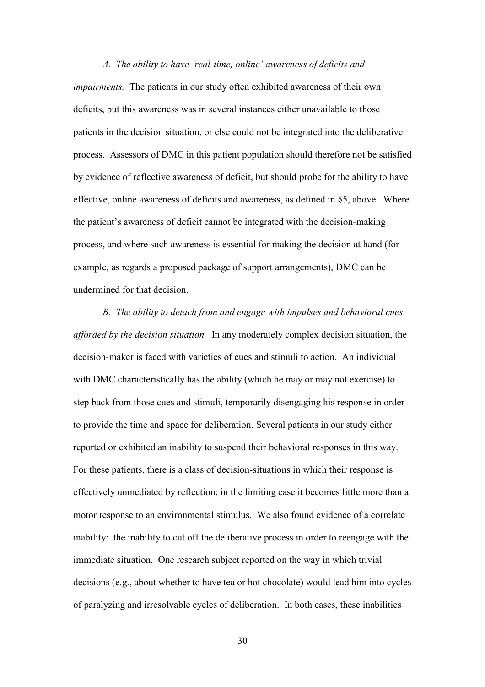*A. The ability to have 'real-time, online' awareness of deficits and impairments.* The patients in our study often exhibited awareness of their own deficits, but this awareness was in several instances either unavailable to those patients in the decision situation, or else could not be integrated into the deliberative process. Assessors of DMC in this patient population should therefore not be satisfied by evidence of reflective awareness of deficit, but should probe for the ability to have effective, online awareness of deficits and awareness, as defined in §5, above. Where the patient's awareness of deficit cannot be integrated with the decision-making process, and where such awareness is essential for making the decision at hand (for example, as regards a proposed package of support arrangements), DMC can be undermined for that decision.

*B. The ability to detach from and engage with impulses and behavioral cues afforded by the decision situation.* In any moderately complex decision situation, the decision-maker is faced with varieties of cues and stimuli to action. An individual with DMC characteristically has the ability (which he may or may not exercise) to step back from those cues and stimuli, temporarily disengaging his response in order to provide the time and space for deliberation. Several patients in our study either reported or exhibited an inability to suspend their behavioral responses in this way. For these patients, there is a class of decision-situations in which their response is effectively unmediated by reflection; in the limiting case it becomes little more than a motor response to an environmental stimulus. We also found evidence of a correlate inability: the inability to cut off the deliberative process in order to reengage with the immediate situation. One research subject reported on the way in which trivial decisions (e.g., about whether to have tea or hot chocolate) would lead him into cycles of paralyzing and irresolvable cycles of deliberation. In both cases, these inabilities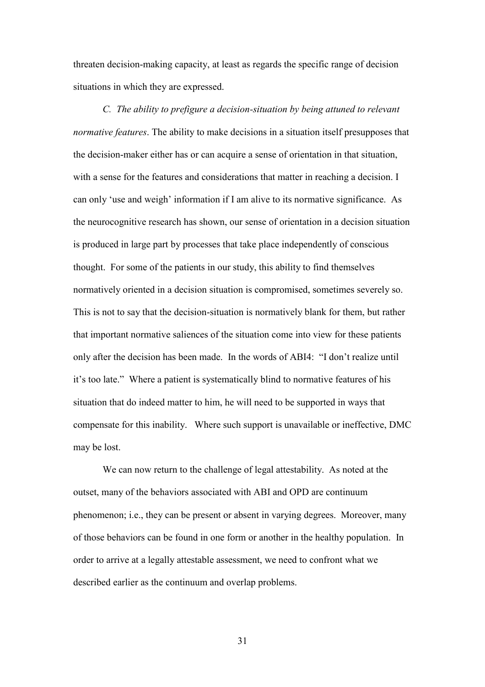threaten decision-making capacity, at least as regards the specific range of decision situations in which they are expressed.

*C.* The ability to prefigure a decision-situation by being attuned to relevant *normative features*. The ability to make decisions in a situation itself presupposes that the decision-maker either has or can acquire a sense of orientation in that situation, with a sense for the features and considerations that matter in reaching a decision. I can only 'use and weigh' information if I am alive to its normative significance. As the neurocognitive research has shown, our sense of orientation in a decision situation is produced in large part by processes that take place independently of conscious thought. For some of the patients in our study, this ability to find themselves normatively oriented in a decision situation is compromised, sometimes severely so. This is not to say that the decision-situation is normatively blank for them, but rather that important normative saliences of the situation come into view for these patients only after the decision has been made. In the words of ABI4: "I don't realize until it's too late." Where a patient is systematically blind to normative features of his situation that do indeed matter to him, he will need to be supported in ways that compensate for this inability. Where such support is unavailable or ineffective, DMC may be lost.

We can now return to the challenge of legal attestability. As noted at the outset, many of the behaviors associated with ABI and OPD are continuum phenomenon; i.e., they can be present or absent in varying degrees. Moreover, many of those behaviors can be found in one form or another in the healthy population. In order to arrive at a legally attestable assessment, we need to confront what we described earlier as the continuum and overlap problems.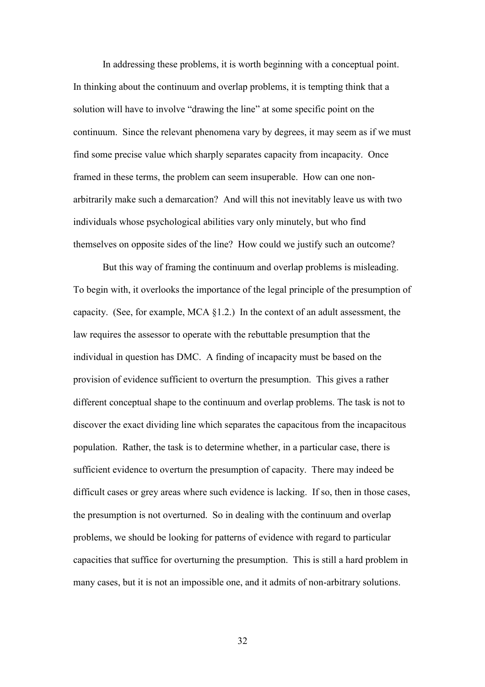In addressing these problems, it is worth beginning with a conceptual point. In thinking about the continuum and overlap problems, it is tempting think that a solution will have to involve "drawing the line" at some specific point on the continuum. Since the relevant phenomena vary by degrees, it may seem as if we must find some precise value which sharply separates capacity from incapacity. Once framed in these terms, the problem can seem insuperable. How can one nonarbitrarily make such a demarcation? And will this not inevitably leave us with two individuals whose psychological abilities vary only minutely, but who find themselves on opposite sides of the line? How could we justify such an outcome?

But this way of framing the continuum and overlap problems is misleading. To begin with, it overlooks the importance of the legal principle of the presumption of capacity. (See, for example, MCA §1.2.) In the context of an adult assessment, the law requires the assessor to operate with the rebuttable presumption that the individual in question has DMC. A finding of incapacity must be based on the provision of evidence sufficient to overturn the presumption. This gives a rather different conceptual shape to the continuum and overlap problems. The task is not to discover the exact dividing line which separates the capacitous from the incapacitous population. Rather, the task is to determine whether, in a particular case, there is sufficient evidence to overturn the presumption of capacity. There may indeed be difficult cases or grey areas where such evidence is lacking. If so, then in those cases, the presumption is not overturned. So in dealing with the continuum and overlap problems, we should be looking for patterns of evidence with regard to particular capacities that suffice for overturning the presumption. This is still a hard problem in many cases, but it is not an impossible one, and it admits of non-arbitrary solutions.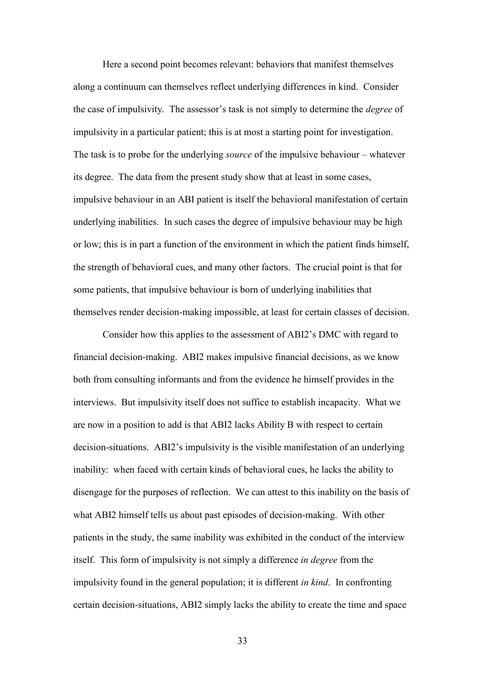Here a second point becomes relevant: behaviors that manifest themselves along a continuum can themselves reflect underlying differences in kind. Consider the case of impulsivity. The assessor's task is not simply to determine the *degree* of impulsivity in a particular patient; this is at most a starting point for investigation. The task is to probe for the underlying *source* of the impulsive behaviour – whatever its degree. The data from the present study show that at least in some cases, impulsive behaviour in an ABI patient is itself the behavioral manifestation of certain underlying inabilities. In such cases the degree of impulsive behaviour may be high or low; this is in part a function of the environment in which the patient finds himself, the strength of behavioral cues, and many other factors. The crucial point is that for some patients, that impulsive behaviour is born of underlying inabilities that themselves render decision-making impossible, at least for certain classes of decision.

Consider how this applies to the assessment of ABI2's DMC with regard to financial decision-making. ABI2 makes impulsive financial decisions, as we know both from consulting informants and from the evidence he himself provides in the interviews. But impulsivity itself does not suffice to establish incapacity. What we are now in a position to add is that ABI2 lacks Ability B with respect to certain decision-situations. ABI2's impulsivity is the visible manifestation of an underlying inability: when faced with certain kinds of behavioral cues, he lacks the ability to disengage for the purposes of reflection. We can attest to this inability on the basis of what ABI2 himself tells us about past episodes of decision-making. With other patients in the study, the same inability was exhibited in the conduct of the interview itself. This form of impulsivity is not simply a difference *in degree* from the impulsivity found in the general population; it is different *in kind*. In confronting certain decision-situations, ABI2 simply lacks the ability to create the time and space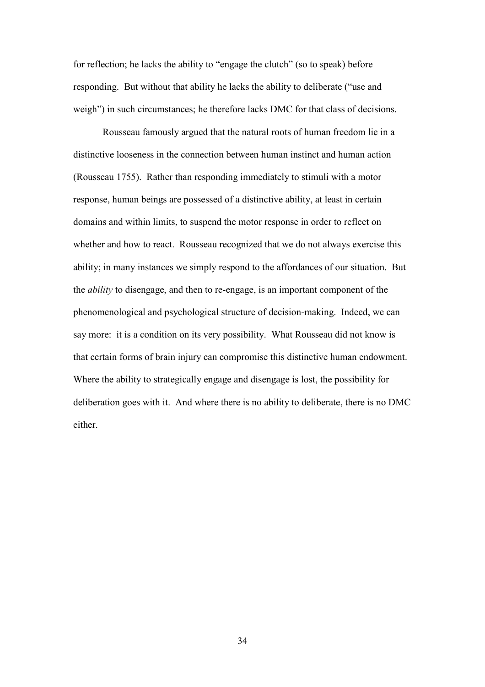for reflection; he lacks the ability to "engage the clutch" (so to speak) before responding. But without that ability he lacks the ability to deliberate ("use and weigh") in such circumstances; he therefore lacks DMC for that class of decisions.

Rousseau famously argued that the natural roots of human freedom lie in a distinctive looseness in the connection between human instinct and human action (Rousseau 1755). Rather than responding immediately to stimuli with a motor response, human beings are possessed of a distinctive ability, at least in certain domains and within limits, to suspend the motor response in order to reflect on whether and how to react. Rousseau recognized that we do not always exercise this ability; in many instances we simply respond to the affordances of our situation. But the *ability* to disengage, and then to re-engage, is an important component of the phenomenological and psychological structure of decision-making. Indeed, we can say more: it is a condition on its very possibility. What Rousseau did not know is that certain forms of brain injury can compromise this distinctive human endowment. Where the ability to strategically engage and disengage is lost, the possibility for deliberation goes with it. And where there is no ability to deliberate, there is no DMC either.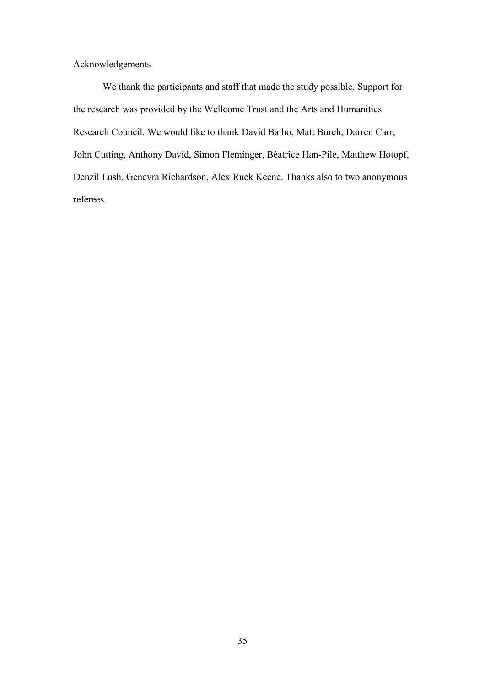Acknowledgements

We thank the participants and staff that made the study possible. Support for the research was provided by the Wellcome Trust and the Arts and Humanities Research Council. We would like to thank David Batho, Matt Burch, Darren Carr, John Cutting, Anthony David, Simon Fleminger, Béatrice Han-Pile, Matthew Hotopf, Denzil Lush, Genevra Richardson, Alex Ruck Keene. Thanks also to two anonymous referees.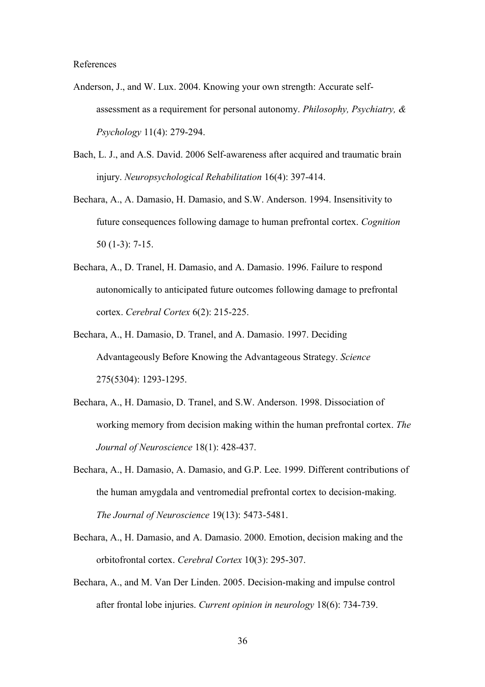References

- Anderson, J., and W. Lux. 2004. Knowing your own strength: Accurate selfassessment as a requirement for personal autonomy. *Philosophy, Psychiatry, & Psychology* 11(4): 279-294.
- Bach, L. J., and A.S. David. 2006 Self-awareness after acquired and traumatic brain injury. *Neuropsychological Rehabilitation* 16(4): 397-414.
- Bechara, A., A. Damasio, H. Damasio, and S.W. Anderson. 1994. Insensitivity to future consequences following damage to human prefrontal cortex. *Cognition* 50 (1-3): 7-15.
- Bechara, A., D. Tranel, H. Damasio, and A. Damasio. 1996. Failure to respond autonomically to anticipated future outcomes following damage to prefrontal cortex. *Cerebral Cortex* 6(2): 215-225.
- Bechara, A., H. Damasio, D. Tranel, and A. Damasio. 1997. Deciding Advantageously Before Knowing the Advantageous Strategy. *Science* 275(5304): 1293-1295.
- Bechara, A., H. Damasio, D. Tranel, and S.W. Anderson. 1998. Dissociation of working memory from decision making within the human prefrontal cortex. *The Journal of Neuroscience* 18(1): 428-437.
- Bechara, A., H. Damasio, A. Damasio, and G.P. Lee. 1999. Different contributions of the human amygdala and ventromedial prefrontal cortex to decision-making. *The Journal of Neuroscience* 19(13): 5473-5481.
- Bechara, A., H. Damasio, and A. Damasio. 2000. Emotion, decision making and the orbitofrontal cortex. *Cerebral Cortex* 10(3): 295-307.
- Bechara, A., and M. Van Der Linden. 2005. Decision-making and impulse control after frontal lobe injuries. *Current opinion in neurology* 18(6): 734-739.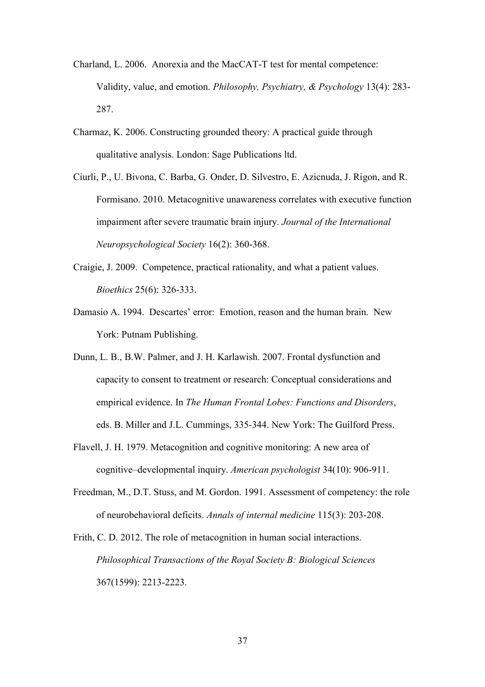- Charland, L. 2006. Anorexia and the MacCAT-T test for mental competence: Validity, value, and emotion. *Philosophy, Psychiatry, & Psychology* 13(4): 283- 287.
- Charmaz, K. 2006. Constructing grounded theory: A practical guide through qualitative analysis. London: Sage Publications ltd.
- Ciurli, P., U. Bivona, C. Barba, G. Onder, D. Silvestro, E. Azicnuda, J. Rigon, and R. Formisano. 2010. Metacognitive unawareness correlates with executive function impairment after severe traumatic brain injury. *Journal of the International Neuropsychological Society* 16(2): 360-368.
- Craigie, J. 2009. Competence, practical rationality, and what a patient values. *Bioethics* 25(6): 326-333.
- Damasio A. 1994. Descartes' error: Emotion, reason and the human brain. New York: Putnam Publishing.
- Dunn, L. B., B.W. Palmer, and J. H. Karlawish. 2007. Frontal dysfunction and capacity to consent to treatment or research: Conceptual considerations and empirical evidence. In *The Human Frontal Lobes: Functions and Disorders*, eds. B. Miller and J.L. Cummings, 335-344. New York: The Guilford Press.
- Flavell, J. H. 1979. Metacognition and cognitive monitoring: A new area of cognitive–developmental inquiry. *American psychologist* 34(10): 906-911.
- Freedman, M., D.T. Stuss, and M. Gordon. 1991. Assessment of competency: the role of neurobehavioral deficits. *Annals of internal medicine* 115(3): 203-208.
- Frith, C. D. 2012. The role of metacognition in human social interactions. *Philosophical Transactions of the Royal Society B: Biological Sciences* 367(1599): 2213-2223.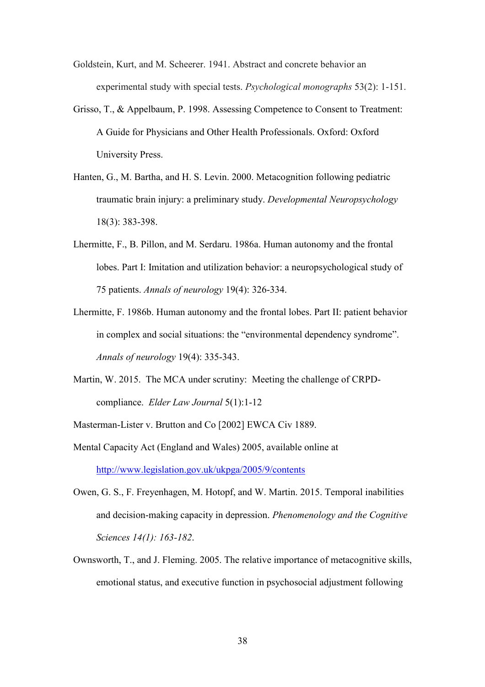Goldstein, Kurt, and M. Scheerer. 1941. Abstract and concrete behavior an experimental study with special tests. *Psychological monographs* 53(2): 1-151.

- Grisso, T., & Appelbaum, P. 1998. Assessing Competence to Consent to Treatment: A Guide for Physicians and Other Health Professionals. Oxford: Oxford University Press.
- Hanten, G., M. Bartha, and H. S. Levin. 2000. Metacognition following pediatric traumatic brain injury: a preliminary study. *Developmental Neuropsychology* 18(3): 383-398.
- Lhermitte, F., B. Pillon, and M. Serdaru. 1986a. Human autonomy and the frontal lobes. Part I: Imitation and utilization behavior: a neuropsychological study of 75 patients. *Annals of neurology* 19(4): 326-334.
- Lhermitte, F. 1986b. Human autonomy and the frontal lobes. Part II: patient behavior in complex and social situations: the "environmental dependency syndrome". *Annals of neurology* 19(4): 335-343.
- Martin, W. 2015. The MCA under scrutiny: Meeting the challenge of CRPDcompliance. *Elder Law Journal* 5(1):1-12
- Masterman-Lister v. Brutton and Co [2002] EWCA Civ 1889.
- Mental Capacity Act (England and Wales) 2005, available online at <http://www.legislation.gov.uk/ukpga/2005/9/contents>
- Owen, G. S., F. Freyenhagen, M. Hotopf, and W. Martin. 2015. Temporal inabilities and decision-making capacity in depression. *Phenomenology and the Cognitive Sciences 14(1): 163-182*.
- Ownsworth, T., and J. Fleming. 2005. The relative importance of metacognitive skills, emotional status, and executive function in psychosocial adjustment following